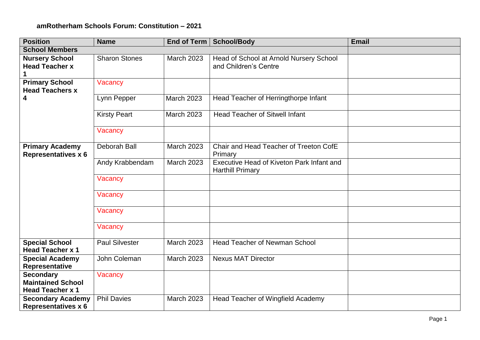## **amRotherham Schools Forum: Constitution – 2021**

| <b>Position</b>                                                         | <b>Name</b>           | End of Term       | <b>School/Body</b>                                                   | <b>Email</b> |  |  |  |
|-------------------------------------------------------------------------|-----------------------|-------------------|----------------------------------------------------------------------|--------------|--|--|--|
| <b>School Members</b>                                                   |                       |                   |                                                                      |              |  |  |  |
| <b>Nursery School</b><br><b>Head Teacher x</b>                          | <b>Sharon Stones</b>  | <b>March 2023</b> | Head of School at Arnold Nursery School<br>and Children's Centre     |              |  |  |  |
| <b>Primary School</b><br><b>Head Teachers x</b>                         | Vacancy               |                   |                                                                      |              |  |  |  |
| 4                                                                       | Lynn Pepper           | <b>March 2023</b> | Head Teacher of Herringthorpe Infant                                 |              |  |  |  |
|                                                                         | <b>Kirsty Peart</b>   | <b>March 2023</b> | <b>Head Teacher of Sitwell Infant</b>                                |              |  |  |  |
|                                                                         | Vacancy               |                   |                                                                      |              |  |  |  |
| <b>Primary Academy</b><br><b>Representatives x 6</b>                    | <b>Deborah Ball</b>   | March 2023        | Chair and Head Teacher of Treeton CofE<br>Primary                    |              |  |  |  |
|                                                                         | Andy Krabbendam       | <b>March 2023</b> | Executive Head of Kiveton Park Infant and<br><b>Harthill Primary</b> |              |  |  |  |
|                                                                         | Vacancy               |                   |                                                                      |              |  |  |  |
|                                                                         | Vacancy               |                   |                                                                      |              |  |  |  |
|                                                                         | Vacancy               |                   |                                                                      |              |  |  |  |
|                                                                         | Vacancy               |                   |                                                                      |              |  |  |  |
| <b>Special School</b><br><b>Head Teacher x 1</b>                        | <b>Paul Silvester</b> | <b>March 2023</b> | <b>Head Teacher of Newman School</b>                                 |              |  |  |  |
| <b>Special Academy</b><br>Representative                                | John Coleman          | <b>March 2023</b> | <b>Nexus MAT Director</b>                                            |              |  |  |  |
| <b>Secondary</b><br><b>Maintained School</b><br><b>Head Teacher x 1</b> | Vacancy               |                   |                                                                      |              |  |  |  |
| <b>Secondary Academy</b><br><b>Representatives x 6</b>                  | <b>Phil Davies</b>    | <b>March 2023</b> | Head Teacher of Wingfield Academy                                    |              |  |  |  |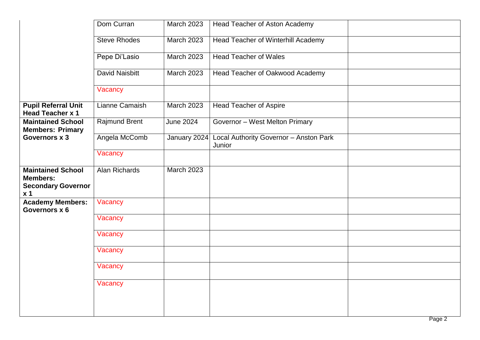|                                                                                            | Dom Curran            | <b>March 2023</b> | Head Teacher of Aston Academy                    |  |
|--------------------------------------------------------------------------------------------|-----------------------|-------------------|--------------------------------------------------|--|
|                                                                                            | <b>Steve Rhodes</b>   | <b>March 2023</b> | <b>Head Teacher of Winterhill Academy</b>        |  |
|                                                                                            | Pepe Di'Lasio         | <b>March 2023</b> | <b>Head Teacher of Wales</b>                     |  |
|                                                                                            | <b>David Naisbitt</b> | <b>March 2023</b> | Head Teacher of Oakwood Academy                  |  |
|                                                                                            | Vacancy               |                   |                                                  |  |
| <b>Pupil Referral Unit</b><br><b>Head Teacher x 1</b>                                      | Lianne Camaish        | <b>March 2023</b> | <b>Head Teacher of Aspire</b>                    |  |
| <b>Maintained School</b><br><b>Members: Primary</b>                                        | <b>Rajmund Brent</b>  | <b>June 2024</b>  | Governor - West Melton Primary                   |  |
| Governors x 3                                                                              | Angela McComb         | January 2024      | Local Authority Governor - Anston Park<br>Junior |  |
|                                                                                            | Vacancy               |                   |                                                  |  |
| <b>Maintained School</b><br><b>Members:</b><br><b>Secondary Governor</b><br>x <sub>1</sub> | Alan Richards         | <b>March 2023</b> |                                                  |  |
| <b>Academy Members:</b><br>Governors x 6                                                   | Vacancy               |                   |                                                  |  |
|                                                                                            | Vacancy               |                   |                                                  |  |
|                                                                                            | Vacancy               |                   |                                                  |  |
|                                                                                            | Vacancy               |                   |                                                  |  |
|                                                                                            | Vacancy               |                   |                                                  |  |
|                                                                                            | Vacancy               |                   |                                                  |  |
|                                                                                            |                       |                   |                                                  |  |